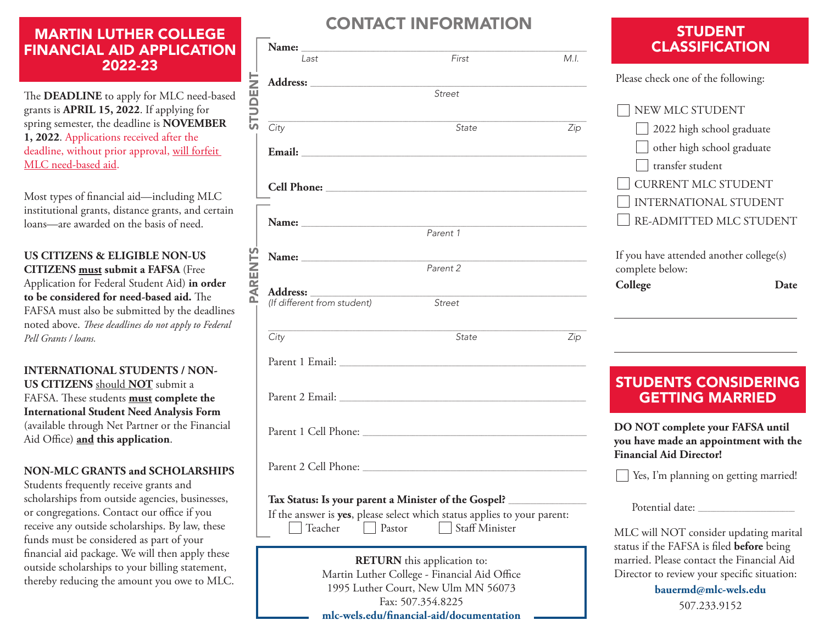# MARTIN LUTHER COLLEGE FINANCIAL AID APPLICATION 2022-23

The **DEADLINE** to apply for MLC need-based grants is **APRIL 15, 2022**. If applying for spring semester, the deadline is **NOVEMBER 1, 2022**. Applications received after the deadline, without prior approval, will forfeit MLC need-based aid.

Most types of financial aid—including MLC institutional grants, distance grants, and certain loans—are awarded on the basis of need.

**US CITIZENS & ELIGIBLE NON-US CITIZENS must submit a FAFSA** (Free Application for Federal Student Aid) **in order to be considered for need-based aid.** The FAFSA must also be submitted by the deadlines noted above. *These deadlines do not apply to Federal Pell Grants / loans.*

**INTERNATIONAL STUDENTS / NON-US CITIZENS** should **NOT** submit a FAFSA. These students **must complete the International Student Need Analysis Form** (available through Net Partner or the Financial Aid Office) **and this application**.

### **NON-MLC GRANTS and SCHOLARSHIPS**

Students frequently receive grants and scholarships from outside agencies, businesses, or congregations. Contact our office if you receive any outside scholarships. By law, these funds must be considered as part of your financial aid package. We will then apply these outside scholarships to your billing statement, thereby reducing the amount you owe to MLC.

# CONTACT INFORMATION

|         | Last                                                                                                                           | First    | M.I.                                                                                                                  |
|---------|--------------------------------------------------------------------------------------------------------------------------------|----------|-----------------------------------------------------------------------------------------------------------------------|
|         |                                                                                                                                |          |                                                                                                                       |
| TUDENT  |                                                                                                                                | Street   |                                                                                                                       |
|         |                                                                                                                                |          |                                                                                                                       |
| PARENTS | City                                                                                                                           | State    | Zip                                                                                                                   |
|         |                                                                                                                                |          |                                                                                                                       |
|         |                                                                                                                                |          |                                                                                                                       |
|         |                                                                                                                                | Parent 1 | <u> 1980 - Johann Barbara, martin da basar da shekara 1980 - An tsa a tsara 1980 - An tsa a tsara 1980 - An tsa a</u> |
|         |                                                                                                                                |          |                                                                                                                       |
|         |                                                                                                                                | Parent 2 |                                                                                                                       |
|         |                                                                                                                                |          |                                                                                                                       |
|         | Address: _________                                                                                                             |          |                                                                                                                       |
|         | (If different from student)                                                                                                    | Street   |                                                                                                                       |
|         | <u> 1980 - Johann Barn, mars ann an t-Amhain ann an t-Amhain an t-Amhain an t-Amhain an t-Amhain an t-Amhain an t-</u><br>City | State    | Zip                                                                                                                   |
|         |                                                                                                                                |          |                                                                                                                       |
|         |                                                                                                                                |          |                                                                                                                       |
|         |                                                                                                                                |          |                                                                                                                       |
|         |                                                                                                                                |          |                                                                                                                       |
|         | Tax Status: Is xxxxx parant a Minister of the Caspell                                                                          |          |                                                                                                                       |

#### **Tax Status: Is your parent a Minister of the Gospel?** \_\_\_\_\_\_\_\_\_\_\_\_\_\_\_\_\_\_\_\_\_\_\_\_\_

If the answer is **yes**, please select which status applies to your parent:

Teacher **Pastor** Staff Minister

**RETURN** this application to: Martin Luther College - Financial Aid Office 1995 Luther Court, New Ulm MN 56073 Fax: 507.354.8225 **mlc-wels.edu/financial-aid/documentation**

### STUDENT CLASSIFICATION

Please check one of the following:

| NEW MLC STUDENT                                            |  |  |  |
|------------------------------------------------------------|--|--|--|
| 2022 high school graduate                                  |  |  |  |
| $\Box$ other high school graduate                          |  |  |  |
| transfer student                                           |  |  |  |
| <b>CURRENT MLC STUDENT</b>                                 |  |  |  |
| INTERNATIONAL STUDENT                                      |  |  |  |
| RE-ADMITTED MLC STUDENT                                    |  |  |  |
|                                                            |  |  |  |
| If you have attended another college(s)<br>complete below: |  |  |  |

**College Date**

# STUDENTS CONSIDERING GETTING MARRIED

**DO NOT complete your FAFSA until you have made an appointment with the Financial Aid Director!**

Yes, I'm planning on getting married!

Potential date:

MLC will NOT consider updating marital status if the FAFSA is filed **before** being married. Please contact the Financial Aid Director to review your specific situation:

> **bauermd@mlc-wels.edu** 507.233.9152